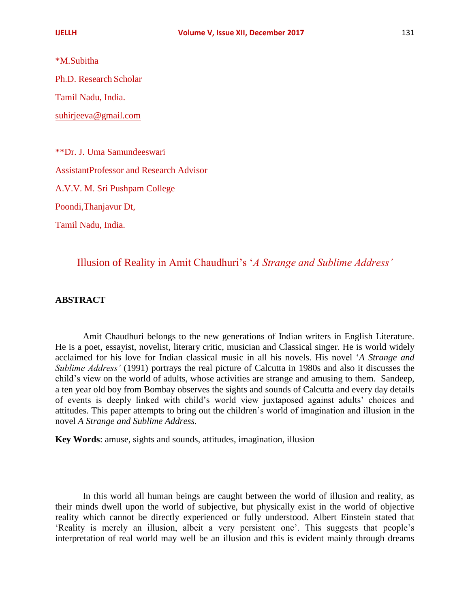\*M.Subitha

Ph.D. Research Scholar

Tamil [Nadu,](mailto:suhirjeeva@gmail.com) India.

suhirjeeva@gmail.com

\*\*Dr. J. Uma Samundeeswari

AssistantProfessor and Research Advisor

A.V.V. M. Sri Pushpam College

Poondi,Thanjavur Dt,

Tamil Nadu, India.

## Illusion of Reality in Amit Chaudhuri's '*A Strange and Sublime Address'*

## **ABSTRACT**

Amit Chaudhuri belongs to the new generations of Indian writers in English Literature. He is a poet, essayist, novelist, literary critic, musician and Classical singer. He is world widely acclaimed for his love for Indian classical music in all his novels. His novel '*A Strange and Sublime Address'* (1991) portrays the real picture of Calcutta in 1980s and also it discusses the child's view on the world of adults, whose activities are strange and amusing to them. Sandeep, a ten year old boy from Bombay observes the sights and sounds of Calcutta and every day details of events is deeply linked with child's world view juxtaposed against adults' choices and attitudes. This paper attempts to bring out the children's world of imagination and illusion in the novel *A Strange and Sublime Address.*

**Key Words**: amuse, sights and sounds, attitudes, imagination, illusion

In this world all human beings are caught between the world of illusion and reality, as their minds dwell upon the world of subjective, but physically exist in the world of objective reality which cannot be directly experienced or fully understood. Albert Einstein stated that 'Reality is merely an illusion, albeit a very persistent one'. This suggests that people's interpretation of real world may well be an illusion and this is evident mainly through dreams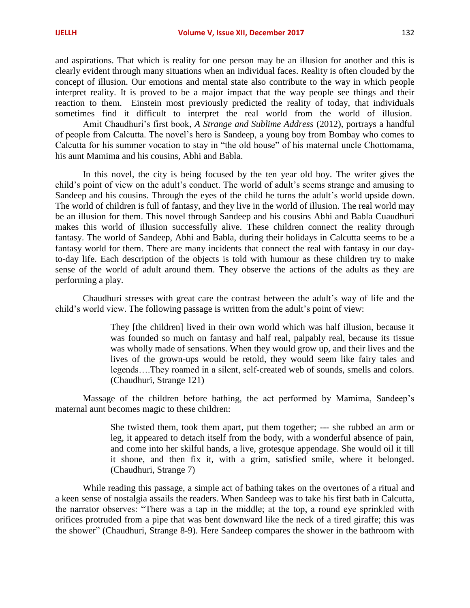and aspirations. That which is reality for one person may be an illusion for another and this is clearly evident through many situations when an individual faces. Reality is often clouded by the concept of illusion. Our emotions and mental state also contribute to the way in which people interpret reality. It is proved to be a major impact that the way people see things and their reaction to them. Einstein most previously predicted the reality of today, that individuals sometimes find it difficult to interpret the real world from the world of illusion.

Amit Chaudhuri's first book, *A Strange and Sublime Address* (2012), portrays a handful of people from Calcutta. The novel's hero is Sandeep, a young boy from Bombay who comes to Calcutta for his summer vocation to stay in "the old house" of his maternal uncle Chottomama, his aunt Mamima and his cousins, Abhi and Babla.

In this novel*,* the city is being focused by the ten year old boy. The writer gives the child's point of view on the adult's conduct. The world of adult's seems strange and amusing to Sandeep and his cousins. Through the eyes of the child he turns the adult's world upside down. The world of children is full of fantasy, and they live in the world of illusion. The real world may be an illusion for them. This novel through Sandeep and his cousins Abhi and Babla Cuaudhuri makes this world of illusion successfully alive. These children connect the reality through fantasy. The world of Sandeep, Abhi and Babla, during their holidays in Calcutta seems to be a fantasy world for them. There are many incidents that connect the real with fantasy in our dayto-day life. Each description of the objects is told with humour as these children try to make sense of the world of adult around them. They observe the actions of the adults as they are performing a play.

Chaudhuri stresses with great care the contrast between the adult's way of life and the child's world view. The following passage is written from the adult's point of view:

> They [the children] lived in their own world which was half illusion, because it was founded so much on fantasy and half real, palpably real, because its tissue was wholly made of sensations. When they would grow up, and their lives and the lives of the grown-ups would be retold, they would seem like fairy tales and legends….They roamed in a silent, self-created web of sounds, smells and colors. (Chaudhuri, Strange 121)

Massage of the children before bathing, the act performed by Mamima, Sandeep's maternal aunt becomes magic to these children:

> She twisted them, took them apart, put them together; --- she rubbed an arm or leg, it appeared to detach itself from the body, with a wonderful absence of pain, and come into her skilful hands, a live, grotesque appendage. She would oil it till it shone, and then fix it, with a grim, satisfied smile, where it belonged. (Chaudhuri, Strange 7)

While reading this passage, a simple act of bathing takes on the overtones of a ritual and a keen sense of nostalgia assails the readers. When Sandeep was to take his first bath in Calcutta, the narrator observes: "There was a tap in the middle; at the top, a round eye sprinkled with orifices protruded from a pipe that was bent downward like the neck of a tired giraffe; this was the shower" (Chaudhuri, Strange 8-9). Here Sandeep compares the shower in the bathroom with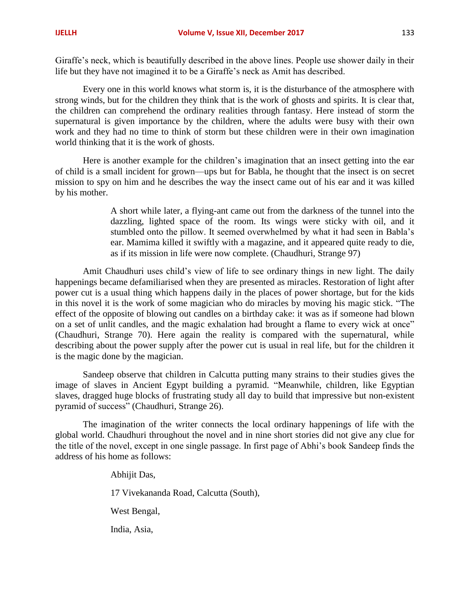Giraffe's neck, which is beautifully described in the above lines. People use shower daily in their life but they have not imagined it to be a Giraffe's neck as Amit has described.

Every one in this world knows what storm is, it is the disturbance of the atmosphere with strong winds, but for the children they think that is the work of ghosts and spirits. It is clear that, the children can comprehend the ordinary realities through fantasy. Here instead of storm the supernatural is given importance by the children, where the adults were busy with their own work and they had no time to think of storm but these children were in their own imagination world thinking that it is the work of ghosts.

Here is another example for the children's imagination that an insect getting into the ear of child is a small incident for grown—ups but for Babla, he thought that the insect is on secret mission to spy on him and he describes the way the insect came out of his ear and it was killed by his mother.

> A short while later, a flying-ant came out from the darkness of the tunnel into the dazzling, lighted space of the room. Its wings were sticky with oil, and it stumbled onto the pillow. It seemed overwhelmed by what it had seen in Babla's ear. Mamima killed it swiftly with a magazine, and it appeared quite ready to die, as if its mission in life were now complete. (Chaudhuri, Strange 97)

Amit Chaudhuri uses child's view of life to see ordinary things in new light. The daily happenings became defamiliarised when they are presented as miracles. Restoration of light after power cut is a usual thing which happens daily in the places of power shortage, but for the kids in this novel it is the work of some magician who do miracles by moving his magic stick. "The effect of the opposite of blowing out candles on a birthday cake: it was as if someone had blown on a set of unlit candles, and the magic exhalation had brought a flame to every wick at once" (Chaudhuri, Strange 70). Here again the reality is compared with the supernatural, while describing about the power supply after the power cut is usual in real life, but for the children it is the magic done by the magician.

Sandeep observe that children in Calcutta putting many strains to their studies gives the image of slaves in Ancient Egypt building a pyramid. "Meanwhile, children, like Egyptian slaves, dragged huge blocks of frustrating study all day to build that impressive but non-existent pyramid of success" (Chaudhuri, Strange 26).

The imagination of the writer connects the local ordinary happenings of life with the global world. Chaudhuri throughout the novel and in nine short stories did not give any clue for the title of the novel, except in one single passage. In first page of Abhi's book Sandeep finds the address of his home as follows:

> Abhijit Das, 17 Vivekananda Road, Calcutta (South), West Bengal, India, Asia,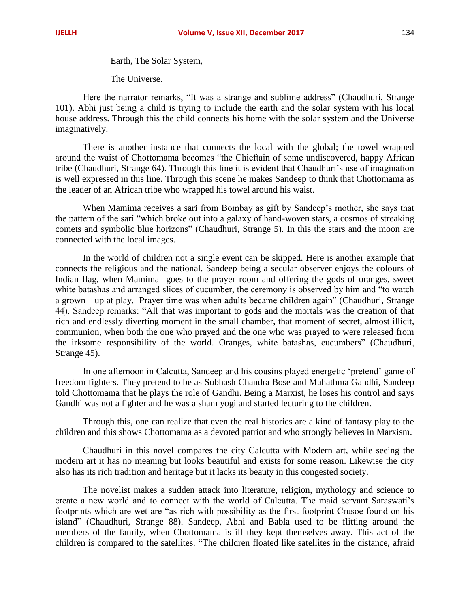Earth, The Solar System,

The Universe.

Here the narrator remarks, "It was a strange and sublime address" (Chaudhuri, Strange 101). Abhi just being a child is trying to include the earth and the solar system with his local house address. Through this the child connects his home with the solar system and the Universe imaginatively.

There is another instance that connects the local with the global; the towel wrapped around the waist of Chottomama becomes "the Chieftain of some undiscovered, happy African tribe (Chaudhuri, Strange 64). Through this line it is evident that Chaudhuri's use of imagination is well expressed in this line. Through this scene he makes Sandeep to think that Chottomama as the leader of an African tribe who wrapped his towel around his waist.

When Mamima receives a sari from Bombay as gift by Sandeep's mother, she says that the pattern of the sari "which broke out into a galaxy of hand-woven stars, a cosmos of streaking comets and symbolic blue horizons" (Chaudhuri, Strange 5). In this the stars and the moon are connected with the local images.

In the world of children not a single event can be skipped. Here is another example that connects the religious and the national. Sandeep being a secular observer enjoys the colours of Indian flag, when Mamima goes to the prayer room and offering the gods of oranges, sweet white batashas and arranged slices of cucumber, the ceremony is observed by him and "to watch a grown—up at play. Prayer time was when adults became children again" (Chaudhuri, Strange 44). Sandeep remarks: "All that was important to gods and the mortals was the creation of that rich and endlessly diverting moment in the small chamber, that moment of secret, almost illicit, communion, when both the one who prayed and the one who was prayed to were released from the irksome responsibility of the world. Oranges, white batashas, cucumbers" (Chaudhuri, Strange 45).

In one afternoon in Calcutta, Sandeep and his cousins played energetic 'pretend' game of freedom fighters. They pretend to be as Subhash Chandra Bose and Mahathma Gandhi, Sandeep told Chottomama that he plays the role of Gandhi. Being a Marxist, he loses his control and says Gandhi was not a fighter and he was a sham yogi and started lecturing to the children.

Through this, one can realize that even the real histories are a kind of fantasy play to the children and this shows Chottomama as a devoted patriot and who strongly believes in Marxism.

Chaudhuri in this novel compares the city Calcutta with Modern art, while seeing the modern art it has no meaning but looks beautiful and exists for some reason. Likewise the city also has its rich tradition and heritage but it lacks its beauty in this congested society.

The novelist makes a sudden attack into literature, religion, mythology and science to create a new world and to connect with the world of Calcutta. The maid servant Saraswati's footprints which are wet are "as rich with possibility as the first footprint Crusoe found on his island" (Chaudhuri, Strange 88). Sandeep, Abhi and Babla used to be flitting around the members of the family, when Chottomama is ill they kept themselves away. This act of the children is compared to the satellites. "The children floated like satellites in the distance, afraid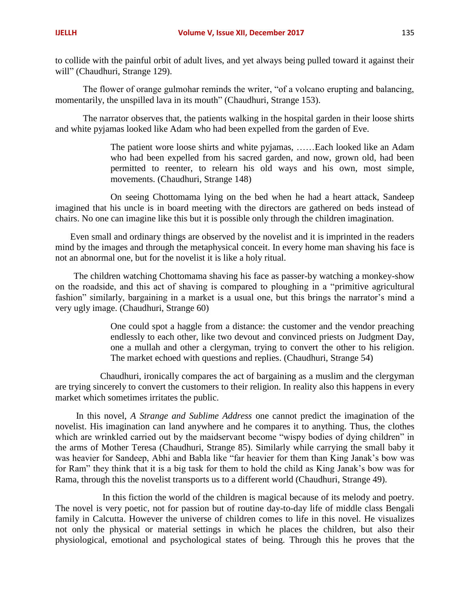to collide with the painful orbit of adult lives, and yet always being pulled toward it against their will" (Chaudhuri, Strange 129).

The flower of orange gulmohar reminds the writer, "of a volcano erupting and balancing, momentarily, the unspilled lava in its mouth" (Chaudhuri, Strange 153).

The narrator observes that, the patients walking in the hospital garden in their loose shirts and white pyjamas looked like Adam who had been expelled from the garden of Eve.

> The patient wore loose shirts and white pyjamas, ……Each looked like an Adam who had been expelled from his sacred garden, and now, grown old, had been permitted to reenter, to relearn his old ways and his own, most simple, movements. (Chaudhuri, Strange 148)

On seeing Chottomama lying on the bed when he had a heart attack, Sandeep imagined that his uncle is in board meeting with the directors are gathered on beds instead of chairs. No one can imagine like this but it is possible only through the children imagination.

 Even small and ordinary things are observed by the novelist and it is imprinted in the readers mind by the images and through the metaphysical conceit. In every home man shaving his face is not an abnormal one, but for the novelist it is like a holy ritual.

 The children watching Chottomama shaving his face as passer-by watching a monkey-show on the roadside, and this act of shaving is compared to ploughing in a "primitive agricultural fashion" similarly, bargaining in a market is a usual one, but this brings the narrator's mind a very ugly image. (Chaudhuri, Strange 60)

> One could spot a haggle from a distance: the customer and the vendor preaching endlessly to each other, like two devout and convinced priests on Judgment Day, one a mullah and other a clergyman, trying to convert the other to his religion. The market echoed with questions and replies. (Chaudhuri, Strange 54)

Chaudhuri, ironically compares the act of bargaining as a muslim and the clergyman are trying sincerely to convert the customers to their religion. In reality also this happens in every market which sometimes irritates the public.

 In this novel, *A Strange and Sublime Address* one cannot predict the imagination of the novelist. His imagination can land anywhere and he compares it to anything. Thus, the clothes which are wrinkled carried out by the maidservant become "wispy bodies of dying children" in the arms of Mother Teresa (Chaudhuri, Strange 85). Similarly while carrying the small baby it was heavier for Sandeep, Abhi and Babla like "far heavier for them than King Janak's bow was for Ram" they think that it is a big task for them to hold the child as King Janak's bow was for Rama, through this the novelist transports us to a different world (Chaudhuri, Strange 49).

 In this fiction the world of the children is magical because of its melody and poetry. The novel is very poetic, not for passion but of routine day-to-day life of middle class Bengali family in Calcutta. However the universe of children comes to life in this novel. He visualizes not only the physical or material settings in which he places the children, but also their physiological, emotional and psychological states of being. Through this he proves that the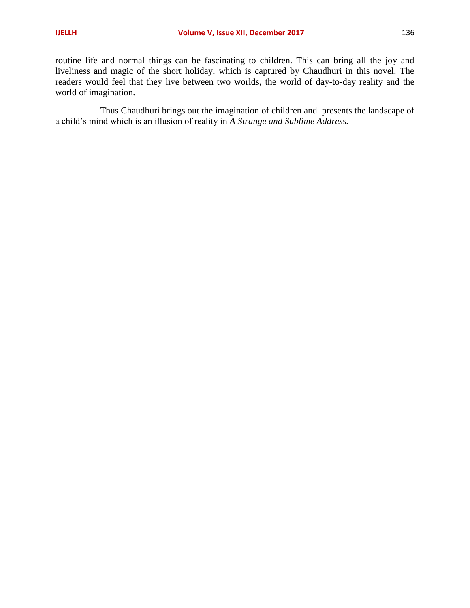routine life and normal things can be fascinating to children. This can bring all the joy and liveliness and magic of the short holiday, which is captured by Chaudhuri in this novel. The readers would feel that they live between two worlds, the world of day-to-day reality and the world of imagination.

Thus Chaudhuri brings out the imagination of children and presents the landscape of a child's mind which is an illusion of reality in *A Strange and Sublime Address.*